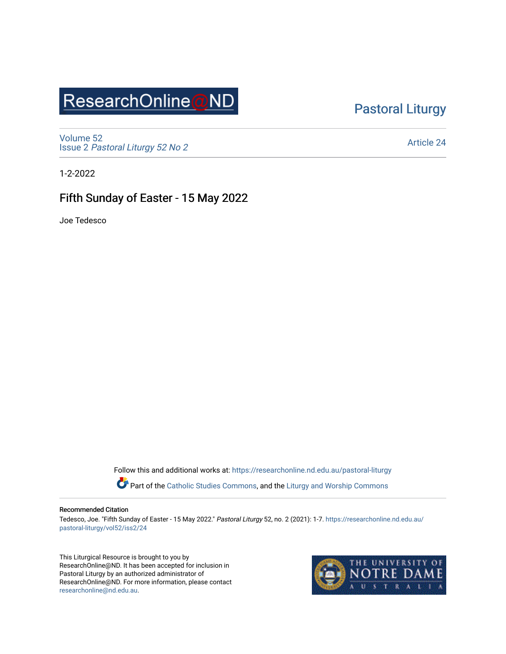# ResearchOnline@ND

### [Pastoral Liturgy](https://researchonline.nd.edu.au/pastoral-liturgy)

[Volume 52](https://researchonline.nd.edu.au/pastoral-liturgy/vol52) Issue 2 [Pastoral Liturgy 52 No 2](https://researchonline.nd.edu.au/pastoral-liturgy/vol52/iss2)

[Article 24](https://researchonline.nd.edu.au/pastoral-liturgy/vol52/iss2/24) 

1-2-2022

### Fifth Sunday of Easter - 15 May 2022

Joe Tedesco

Follow this and additional works at: [https://researchonline.nd.edu.au/pastoral-liturgy](https://researchonline.nd.edu.au/pastoral-liturgy?utm_source=researchonline.nd.edu.au%2Fpastoral-liturgy%2Fvol52%2Fiss2%2F24&utm_medium=PDF&utm_campaign=PDFCoverPages)

Part of the [Catholic Studies Commons,](http://network.bepress.com/hgg/discipline/1294?utm_source=researchonline.nd.edu.au%2Fpastoral-liturgy%2Fvol52%2Fiss2%2F24&utm_medium=PDF&utm_campaign=PDFCoverPages) and the Liturgy and Worship Commons

#### Recommended Citation

Tedesco, Joe. "Fifth Sunday of Easter - 15 May 2022." Pastoral Liturgy 52, no. 2 (2021): 1-7. [https://researchonline.nd.edu.au/](https://researchonline.nd.edu.au/pastoral-liturgy/vol52/iss2/24?utm_source=researchonline.nd.edu.au%2Fpastoral-liturgy%2Fvol52%2Fiss2%2F24&utm_medium=PDF&utm_campaign=PDFCoverPages) [pastoral-liturgy/vol52/iss2/24](https://researchonline.nd.edu.au/pastoral-liturgy/vol52/iss2/24?utm_source=researchonline.nd.edu.au%2Fpastoral-liturgy%2Fvol52%2Fiss2%2F24&utm_medium=PDF&utm_campaign=PDFCoverPages) 

This Liturgical Resource is brought to you by ResearchOnline@ND. It has been accepted for inclusion in Pastoral Liturgy by an authorized administrator of ResearchOnline@ND. For more information, please contact [researchonline@nd.edu.au.](mailto:researchonline@nd.edu.au)

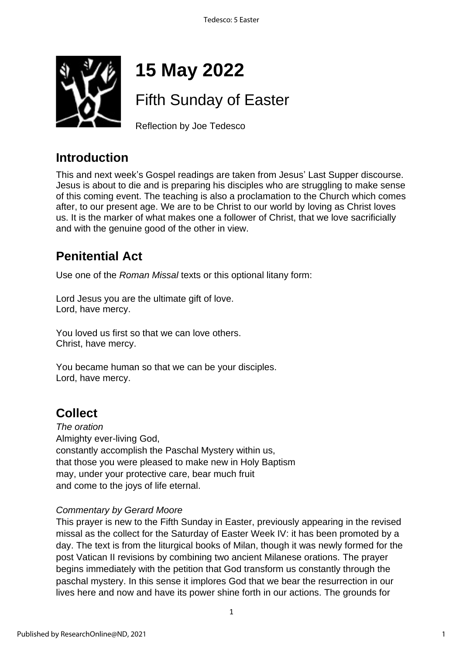

# **15 May 2022**

# Fifth Sunday of Easter

Reflection by Joe Tedesco

### **Introduction**

This and next week's Gospel readings are taken from Jesus' Last Supper discourse. Jesus is about to die and is preparing his disciples who are struggling to make sense of this coming event. The teaching is also a proclamation to the Church which comes after, to our present age. We are to be Christ to our world by loving as Christ loves us. It is the marker of what makes one a follower of Christ, that we love sacrificially and with the genuine good of the other in view.

### **Penitential Act**

Use one of the *Roman Missal* texts or this optional litany form:

Lord Jesus you are the ultimate gift of love. Lord, have mercy.

You loved us first so that we can love others. Christ, have mercy.

You became human so that we can be your disciples. Lord, have mercy.

## **Collect**

*The oration* Almighty ever-living God, constantly accomplish the Paschal Mystery within us, that those you were pleased to make new in Holy Baptism may, under your protective care, bear much fruit and come to the joys of life eternal.

#### *Commentary by Gerard Moore*

This prayer is new to the Fifth Sunday in Easter, previously appearing in the revised missal as the collect for the Saturday of Easter Week IV: it has been promoted by a day. The text is from the liturgical books of Milan, though it was newly formed for the post Vatican II revisions by combining two ancient Milanese orations. The prayer begins immediately with the petition that God transform us constantly through the paschal mystery. In this sense it implores God that we bear the resurrection in our lives here and now and have its power shine forth in our actions. The grounds for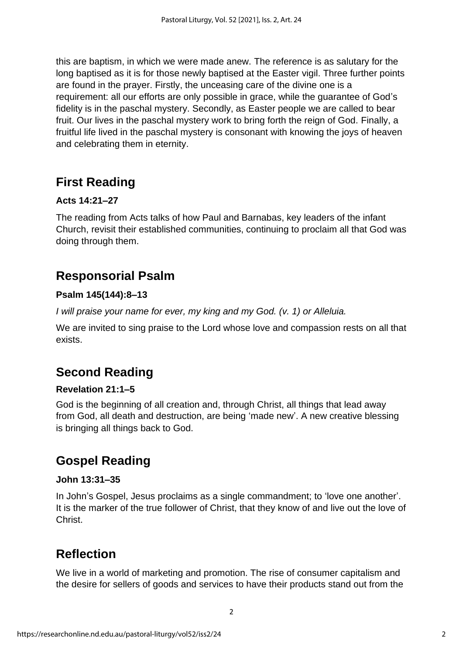this are baptism, in which we were made anew. The reference is as salutary for the long baptised as it is for those newly baptised at the Easter vigil. Three further points are found in the prayer. Firstly, the unceasing care of the divine one is a requirement: all our efforts are only possible in grace, while the guarantee of God's fidelity is in the paschal mystery. Secondly, as Easter people we are called to bear fruit. Our lives in the paschal mystery work to bring forth the reign of God. Finally, a fruitful life lived in the paschal mystery is consonant with knowing the joys of heaven and celebrating them in eternity.

### **First Reading**

#### **Acts 14:21–27**

The reading from Acts talks of how Paul and Barnabas, key leaders of the infant Church, revisit their established communities, continuing to proclaim all that God was doing through them.

### **Responsorial Psalm**

#### **Psalm 145(144):8–13**

*I will praise your name for ever, my king and my God. (v. 1) or Alleluia.*

We are invited to sing praise to the Lord whose love and compassion rests on all that exists.

### **Second Reading**

#### **Revelation 21:1–5**

God is the beginning of all creation and, through Christ, all things that lead away from God, all death and destruction, are being 'made new'. A new creative blessing is bringing all things back to God.

### **Gospel Reading**

#### **John 13:31–35**

In John's Gospel, Jesus proclaims as a single commandment; to 'love one another'. It is the marker of the true follower of Christ, that they know of and live out the love of Christ.

### **Reflection**

We live in a world of marketing and promotion. The rise of consumer capitalism and the desire for sellers of goods and services to have their products stand out from the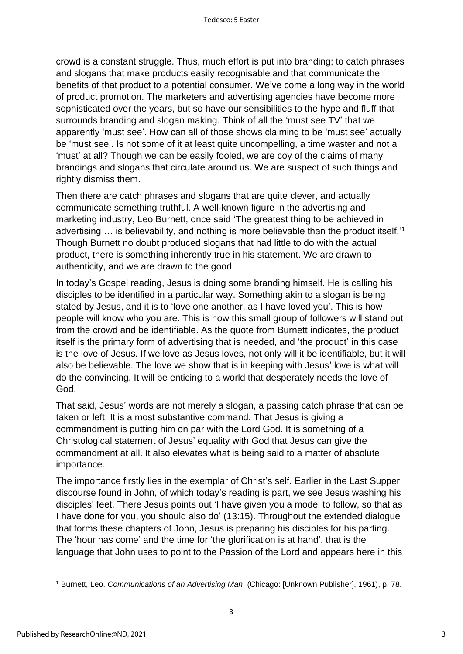crowd is a constant struggle. Thus, much effort is put into branding; to catch phrases and slogans that make products easily recognisable and that communicate the benefits of that product to a potential consumer. We've come a long way in the world of product promotion. The marketers and advertising agencies have become more sophisticated over the years, but so have our sensibilities to the hype and fluff that surrounds branding and slogan making. Think of all the 'must see TV' that we apparently 'must see'. How can all of those shows claiming to be 'must see' actually be 'must see'. Is not some of it at least quite uncompelling, a time waster and not a 'must' at all? Though we can be easily fooled, we are coy of the claims of many brandings and slogans that circulate around us. We are suspect of such things and rightly dismiss them.

Then there are catch phrases and slogans that are quite clever, and actually communicate something truthful. A well-known figure in the advertising and marketing industry, Leo Burnett, once said 'The greatest thing to be achieved in advertising ... is believability, and nothing is more believable than the product itself.<sup>11</sup> Though Burnett no doubt produced slogans that had little to do with the actual product, there is something inherently true in his statement. We are drawn to authenticity, and we are drawn to the good.

In today's Gospel reading, Jesus is doing some branding himself. He is calling his disciples to be identified in a particular way. Something akin to a slogan is being stated by Jesus, and it is to 'love one another, as I have loved you'. This is how people will know who you are. This is how this small group of followers will stand out from the crowd and be identifiable. As the quote from Burnett indicates, the product itself is the primary form of advertising that is needed, and 'the product' in this case is the love of Jesus. If we love as Jesus loves, not only will it be identifiable, but it will also be believable. The love we show that is in keeping with Jesus' love is what will do the convincing. It will be enticing to a world that desperately needs the love of God.

That said, Jesus' words are not merely a slogan, a passing catch phrase that can be taken or left. It is a most substantive command. That Jesus is giving a commandment is putting him on par with the Lord God. It is something of a Christological statement of Jesus' equality with God that Jesus can give the commandment at all. It also elevates what is being said to a matter of absolute importance.

The importance firstly lies in the exemplar of Christ's self. Earlier in the Last Supper discourse found in John, of which today's reading is part, we see Jesus washing his disciples' feet. There Jesus points out 'I have given you a model to follow, so that as I have done for you, you should also do' (13:15). Throughout the extended dialogue that forms these chapters of John, Jesus is preparing his disciples for his parting. The 'hour has come' and the time for 'the glorification is at hand', that is the language that John uses to point to the Passion of the Lord and appears here in this

3

<sup>1</sup> Burnett, Leo. *Communications of an Advertising Man*. (Chicago: [Unknown Publisher], 1961), p. 78.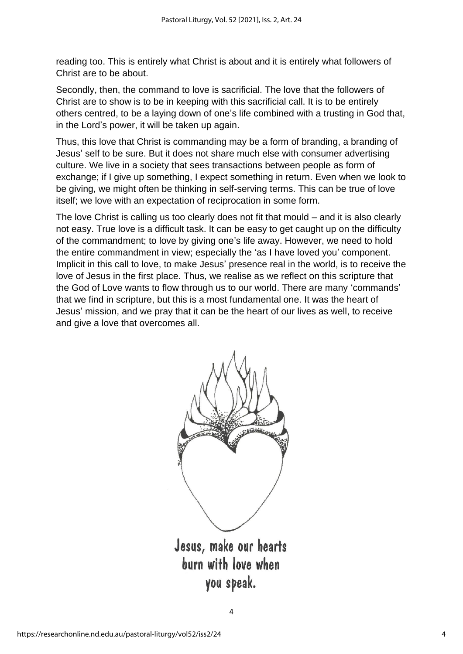reading too. This is entirely what Christ is about and it is entirely what followers of Christ are to be about.

Secondly, then, the command to love is sacrificial. The love that the followers of Christ are to show is to be in keeping with this sacrificial call. It is to be entirely others centred, to be a laying down of one's life combined with a trusting in God that, in the Lord's power, it will be taken up again.

Thus, this love that Christ is commanding may be a form of branding, a branding of Jesus' self to be sure. But it does not share much else with consumer advertising culture. We live in a society that sees transactions between people as form of exchange; if I give up something, I expect something in return. Even when we look to be giving, we might often be thinking in self-serving terms. This can be true of love itself; we love with an expectation of reciprocation in some form.

The love Christ is calling us too clearly does not fit that mould – and it is also clearly not easy. True love is a difficult task. It can be easy to get caught up on the difficulty of the commandment; to love by giving one's life away. However, we need to hold the entire commandment in view; especially the 'as I have loved you' component. Implicit in this call to love, to make Jesus' presence real in the world, is to receive the love of Jesus in the first place. Thus, we realise as we reflect on this scripture that the God of Love wants to flow through us to our world. There are many 'commands' that we find in scripture, but this is a most fundamental one. It was the heart of Jesus' mission, and we pray that it can be the heart of our lives as well, to receive and give a love that overcomes all.



burn with love when you speak.

4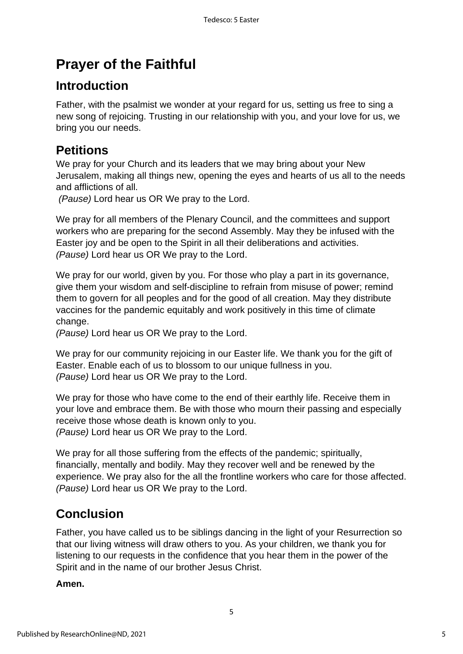## **Prayer of the Faithful**

### **Introduction**

Father, with the psalmist we wonder at your regard for us, setting us free to sing a new song of rejoicing. Trusting in our relationship with you, and your love for us, we bring you our needs.

### **Petitions**

We pray for your Church and its leaders that we may bring about your New Jerusalem, making all things new, opening the eyes and hearts of us all to the needs and afflictions of all.

*(Pause)* Lord hear us OR We pray to the Lord.

We pray for all members of the Plenary Council, and the committees and support workers who are preparing for the second Assembly. May they be infused with the Easter joy and be open to the Spirit in all their deliberations and activities. *(Pause)* Lord hear us OR We pray to the Lord.

We pray for our world, given by you. For those who play a part in it*s* governance, give them your wisdom and self-discipline to refrain from misuse of power; remind them to govern for all peoples and for the good of all creation. May they distribute vaccines for the pandemic equitably and work positively in this time of climate change.

*(Pause)* Lord hear us OR We pray to the Lord.

We pray for our community rejoicing in our Easter life. We thank you for the gift of Easter. Enable each of us to blossom to our unique fullness in you. *(Pause)* Lord hear us OR We pray to the Lord.

We pray for those who have come to the end of their earthly life. Receive them in your love and embrace them. Be with those who mourn their passing and especially receive those whose death is known only to you. *(Pause)* Lord hear us OR We pray to the Lord.

We pray for all those suffering from the effects of the pandemic; spiritually, financially, mentally and bodily. May they recover well and be renewed by the experience. We pray also for the all the frontline workers who care for those affected. *(Pause)* Lord hear us OR We pray to the Lord.

### **Conclusion**

Father, you have called us to be siblings dancing in the light of your Resurrection so that our living witness will draw others to you. As your children, we thank you for listening to our requests in the confidence that you hear them in the power of the Spirit and in the name of our brother Jesus Christ.

5

**Amen.**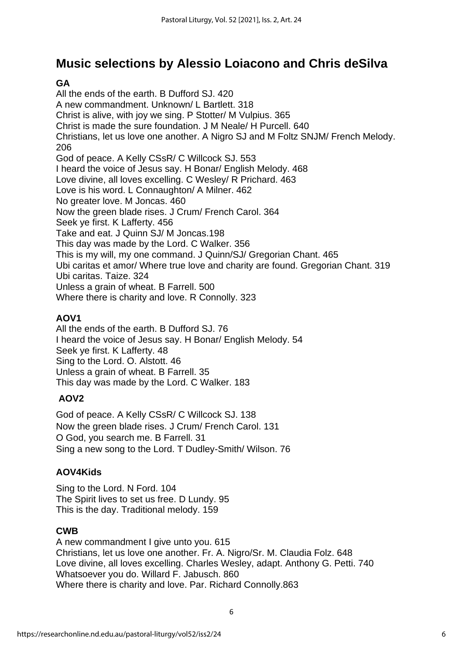### **Music selections by Alessio Loiacono and Chris deSilva**

### **GA**

All the ends of the earth. B Dufford SJ. 420 A new commandment. Unknown/ L Bartlett. 318 Christ is alive, with joy we sing. P Stotter/ M Vulpius. 365 Christ is made the sure foundation. J M Neale/ H Purcell. 640 Christians, let us love one another. A Nigro SJ and M Foltz SNJM/ French Melody. 206 God of peace. A Kelly CSsR/ C Willcock SJ. 553 I heard the voice of Jesus say. H Bonar/ English Melody. 468 Love divine, all loves excelling. C Wesley/ R Prichard. 463 Love is his word. L Connaughton/ A Milner. 462 No greater love. M Joncas. 460 Now the green blade rises. J Crum/ French Carol. 364 Seek ye first. K Lafferty. 456 Take and eat. J Quinn SJ/ M Joncas.198 This day was made by the Lord. C Walker. 356 This is my will, my one command. J Quinn/SJ/ Gregorian Chant. 465 Ubi caritas et amor/ Where true love and charity are found. Gregorian Chant. 319 Ubi caritas. Taize. 324 Unless a grain of wheat. B Farrell. 500 Where there is charity and love. R Connolly. 323

### **AOV1**

All the ends of the earth. B Dufford SJ. 76 I heard the voice of Jesus say. H Bonar/ English Melody. 54 Seek ye first. K Lafferty. 48 Sing to the Lord. O. Alstott. 46 Unless a grain of wheat. B Farrell. 35 This day was made by the Lord. C Walker. 183

### **AOV2**

God of peace. A Kelly CSsR/ C Willcock SJ. 138 Now the green blade rises. J Crum/ French Carol. 131 O God, you search me. B Farrell. 31 Sing a new song to the Lord. T Dudley-Smith/ Wilson. 76

#### **AOV4Kids**

Sing to the Lord. N Ford. 104 The Spirit lives to set us free. D Lundy. 95 This is the day. Traditional melody. 159

#### **CWB**

A new commandment I give unto you. 615 Christians, let us love one another. Fr. A. Nigro/Sr. M. Claudia Folz. 648 Love divine, all loves excelling. Charles Wesley, adapt. Anthony G. Petti. 740 Whatsoever you do. Willard F. Jabusch. 860 Where there is charity and love. Par. Richard Connolly.863